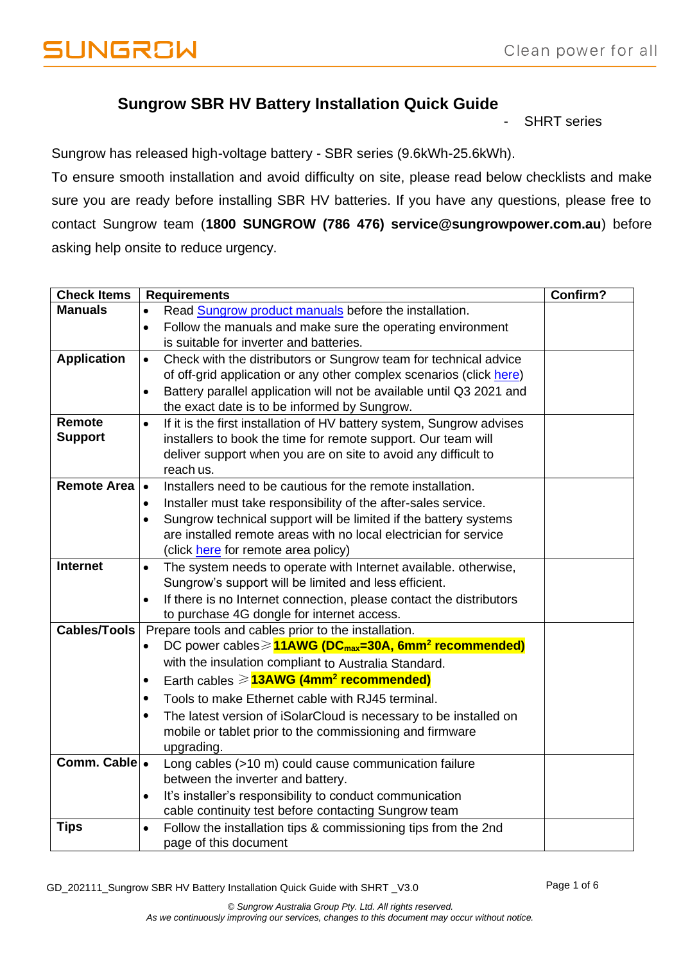## **Sungrow SBR HV Battery Installation Quick Guide**

**SHRT** series

Sungrow has released high-voltage battery - SBR series (9.6kWh-25.6kWh).

To ensure smooth installation and avoid difficulty on site, please read below checklists and make sure you are ready before installing SBR HV batteries. If you have any questions, please free to contact Sungrow team (**1800 SUNGROW (786 476) service@sungrowpower.com.au**) before asking help onsite to reduce urgency.

| <b>Check Items</b>  | <b>Requirements</b>                                                                                                                               | Confirm? |
|---------------------|---------------------------------------------------------------------------------------------------------------------------------------------------|----------|
| <b>Manuals</b>      | Read Sungrow product manuals before the installation.<br>$\bullet$                                                                                |          |
|                     | Follow the manuals and make sure the operating environment<br>$\bullet$                                                                           |          |
|                     | is suitable for inverter and batteries.                                                                                                           |          |
| <b>Application</b>  | Check with the distributors or Sungrow team for technical advice<br>$\bullet$                                                                     |          |
|                     | of off-grid application or any other complex scenarios (click here)                                                                               |          |
|                     | Battery parallel application will not be available until Q3 2021 and<br>$\bullet$                                                                 |          |
|                     | the exact date is to be informed by Sungrow.                                                                                                      |          |
| Remote              | If it is the first installation of HV battery system, Sungrow advises<br>$\bullet$                                                                |          |
| <b>Support</b>      | installers to book the time for remote support. Our team will                                                                                     |          |
|                     | deliver support when you are on site to avoid any difficult to                                                                                    |          |
| <b>Remote Area</b>  | reach us.                                                                                                                                         |          |
|                     | Installers need to be cautious for the remote installation.<br>$\bullet$                                                                          |          |
|                     | Installer must take responsibility of the after-sales service.<br>$\bullet$                                                                       |          |
|                     | Sungrow technical support will be limited if the battery systems<br>$\bullet$<br>are installed remote areas with no local electrician for service |          |
|                     | (click here for remote area policy)                                                                                                               |          |
| <b>Internet</b>     | The system needs to operate with Internet available. otherwise,<br>$\bullet$                                                                      |          |
|                     | Sungrow's support will be limited and less efficient.                                                                                             |          |
|                     | If there is no Internet connection, please contact the distributors<br>$\bullet$                                                                  |          |
|                     | to purchase 4G dongle for internet access.                                                                                                        |          |
| <b>Cables/Tools</b> | Prepare tools and cables prior to the installation.                                                                                               |          |
|                     | DC power cables > 11AWG (DC <sub>max</sub> =30A, 6mm <sup>2</sup> recommended)<br>٠                                                               |          |
|                     | with the insulation compliant to Australia Standard.                                                                                              |          |
|                     | Earth cables $\geqslant$ <b>13AWG (4mm<sup>2</sup> recommended)</b><br>$\bullet$                                                                  |          |
|                     | Tools to make Ethernet cable with RJ45 terminal.<br>$\bullet$                                                                                     |          |
|                     | The latest version of iSolarCloud is necessary to be installed on<br>٠                                                                            |          |
|                     | mobile or tablet prior to the commissioning and firmware                                                                                          |          |
|                     | upgrading.                                                                                                                                        |          |
| Comm. Cable .       | Long cables (>10 m) could cause communication failure                                                                                             |          |
|                     | between the inverter and battery.                                                                                                                 |          |
|                     | It's installer's responsibility to conduct communication<br>$\bullet$                                                                             |          |
|                     | cable continuity test before contacting Sungrow team                                                                                              |          |
| <b>Tips</b>         | Follow the installation tips & commissioning tips from the 2nd<br>$\bullet$                                                                       |          |
|                     | page of this document                                                                                                                             |          |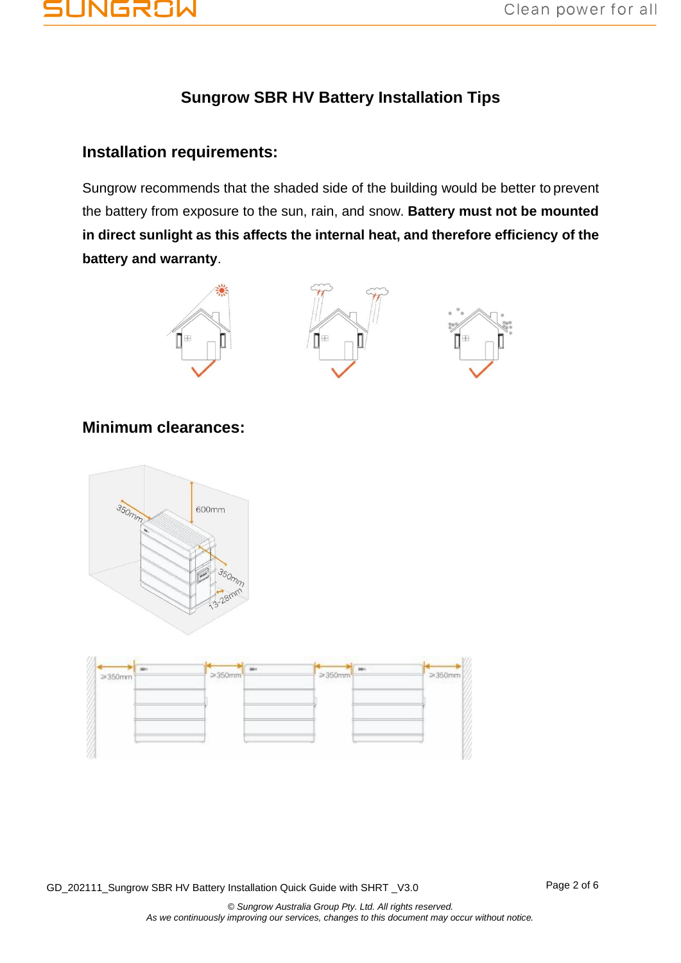# JNGF

# **Sungrow SBR HV Battery Installation Tips**

### **Installation requirements:**

Sungrow recommends that the shaded side of the building would be better to prevent the battery from exposure to the sun, rain, and snow. **Battery must not be mounted in direct sunlight as this affects the internal heat, and therefore efficiency of the battery and warranty**.







### **Minimum clearances:**





GD\_202111\_Sungrow SBR HV Battery Installation Quick Guide with SHRT \_V3.0 Page 2 of 6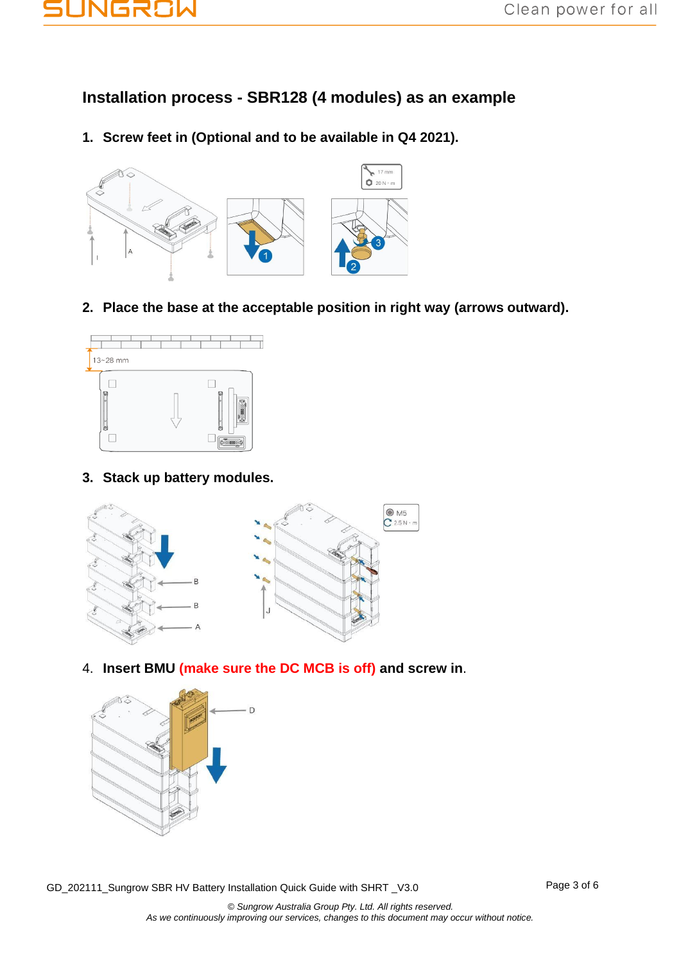

**Installation process - SBR128 (4 modules) as an example**

**1. Screw feet in (Optional and to be available in Q4 2021).**



**2. Place the base at the acceptable position in right way (arrows outward).**



**3. Stack up battery modules.**



4. **Insert BMU (make sure the DC MCB is off) and screw in**.



GD\_202111\_Sungrow SBR HV Battery Installation Quick Guide with SHRT \_V3.0 Page 3 of 6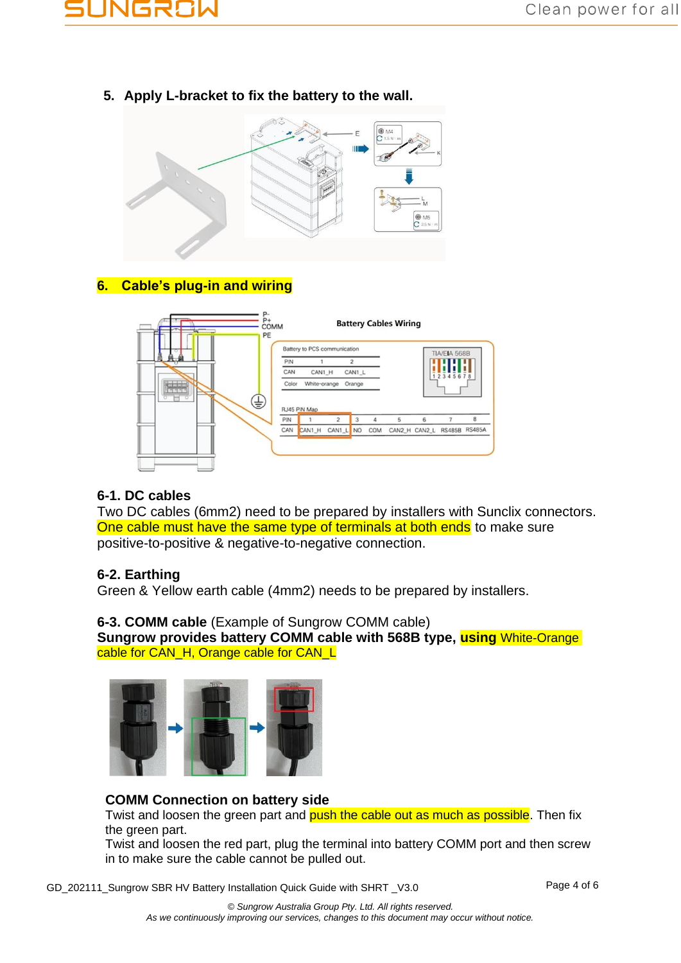

**5. Apply L-bracket to fix the battery to the wall.**



## **6. Cable's plug-in and wiring**



#### **6-1. DC cables**

Two DC cables (6mm2) need to be prepared by installers with Sunclix connectors. One cable must have the same type of terminals at both ends to make sure positive-to-positive & negative-to-negative connection.

#### **6-2. Earthing**

Green & Yellow earth cable (4mm2) needs to be prepared by installers.

#### **6-3. COMM cable** (Example of Sungrow COMM cable)

**Sungrow provides battery COMM cable with 568B type, using** White-Orange cable for CAN\_H, Orange cable for CAN\_L



#### **COMM Connection on battery side**

Twist and loosen the green part and push the cable out as much as possible. Then fix the green part.

Twist and loosen the red part, plug the terminal into battery COMM port and then screw in to make sure the cable cannot be pulled out.

GD\_202111\_Sungrow SBR HV Battery Installation Quick Guide with SHRT \_V3.0 Page 4 of 6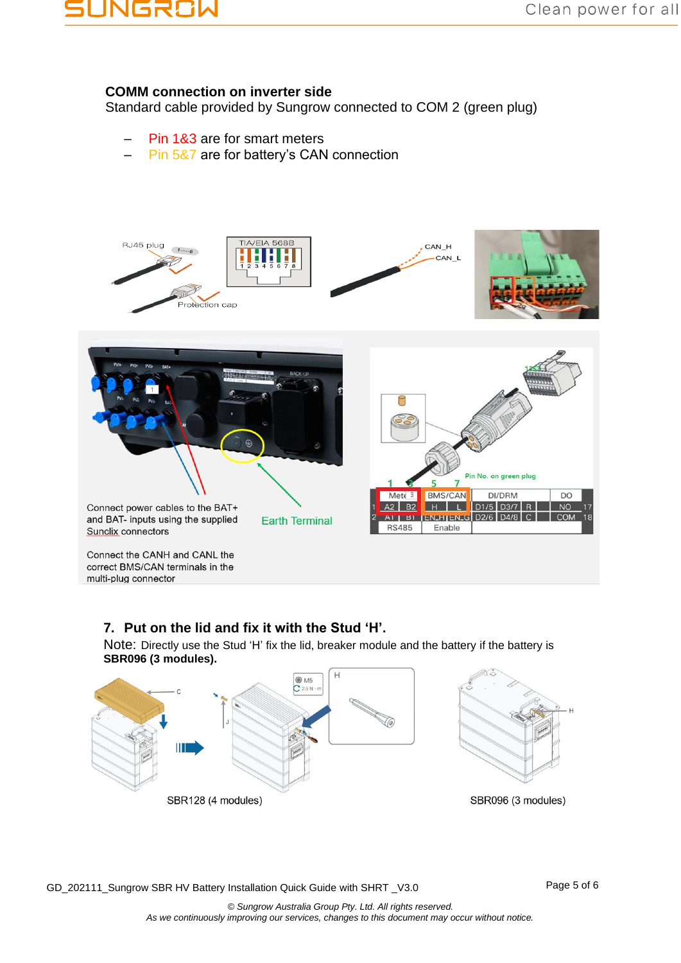# VGR8W

#### **COMM connection on inverter side**

Standard cable provided by Sungrow connected to COM 2 (green plug)

- Pin 1&3 are for smart meters
- Pin 5&7 are for battery's CAN connection



#### **7. Put on the lid and fix it with the Stud 'H'.**

Note: Directly use the Stud 'H' fix the lid, breaker module and the battery if the battery is **SBR096 (3 modules).**

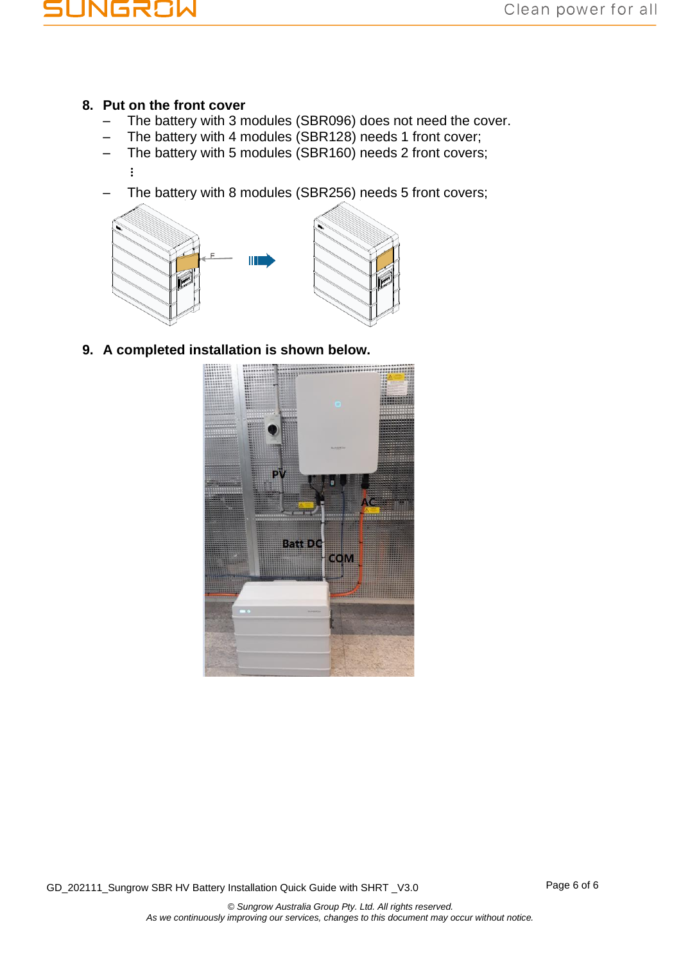

#### **8. Put on the front cover**

- The battery with 3 modules (SBR096) does not need the cover.
- The battery with 4 modules (SBR128) needs 1 front cover;
- The battery with 5 modules (SBR160) needs 2 front covers;
	- ⋮
	- The battery with 8 modules (SBR256) needs 5 front covers;



**9. A completed installation is shown below.**